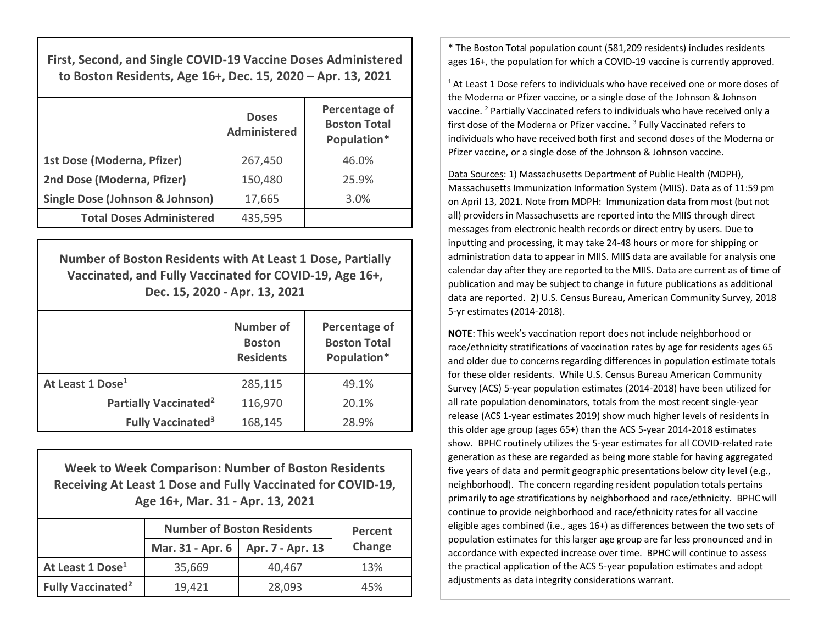**First, Second, and Single COVID-19 Vaccine Doses Administered to Boston Residents, Age 16+, Dec. 15, 2020 – Apr. 13, 2021**

|                                            | <b>Doses</b><br><b>Administered</b> | Percentage of<br><b>Boston Total</b><br>Population* |
|--------------------------------------------|-------------------------------------|-----------------------------------------------------|
| 1st Dose (Moderna, Pfizer)                 | 267,450                             | 46.0%                                               |
| 2nd Dose (Moderna, Pfizer)                 | 150,480                             | 25.9%                                               |
| <b>Single Dose (Johnson &amp; Johnson)</b> | 17,665                              | 3.0%                                                |
| <b>Total Doses Administered</b>            | 435,595                             |                                                     |

**Number of Boston Residents with At Least 1 Dose, Partially Vaccinated, and Fully Vaccinated for COVID-19, Age 16+, Dec. 15, 2020 - Apr. 13, 2021**

|                                     | <b>Number of</b><br><b>Boston</b><br><b>Residents</b> | Percentage of<br><b>Boston Total</b><br>Population* |
|-------------------------------------|-------------------------------------------------------|-----------------------------------------------------|
| At Least 1 Dose <sup>1</sup>        | 285,115                                               | 49.1%                                               |
| Partially Vaccinated <sup>2</sup>   | 116,970                                               | 20.1%                                               |
| <b>Fully Vaccinated<sup>3</sup></b> | 168,145                                               | 28.9%                                               |

**Week to Week Comparison: Number of Boston Residents Receiving At Least 1 Dose and Fully Vaccinated for COVID-19, Age 16+, Mar. 31 - Apr. 13, 2021**

|                                     | <b>Number of Boston Residents</b> | Percent          |        |  |
|-------------------------------------|-----------------------------------|------------------|--------|--|
|                                     | Mar. 31 - Apr. 6                  | Apr. 7 - Apr. 13 | Change |  |
| At Least 1 Dose <sup>1</sup>        | 35,669                            | 40,467           | 13%    |  |
| <b>Fully Vaccinated<sup>2</sup></b> | 19,421                            | 28,093           | 45%    |  |

\* The Boston Total population count (581,209 residents) includes residents ages 16+, the population for which a COVID-19 vaccine is currently approved.

 $1$ At Least 1 Dose refers to individuals who have received one or more doses of the Moderna or Pfizer vaccine, or a single dose of the Johnson & Johnson vaccine. <sup>2</sup> Partially Vaccinated refers to individuals who have received only a first dose of the Moderna or Pfizer vaccine.<sup>3</sup> Fully Vaccinated refers to individuals who have received both first and second doses of the Moderna or Pfizer vaccine, or a single dose of the Johnson & Johnson vaccine.

Data Sources: 1) Massachusetts Department of Public Health (MDPH), Massachusetts Immunization Information System (MIIS). Data as of 11:59 pm on April 13, 2021. Note from MDPH: Immunization data from most (but not all) providers in Massachusetts are reported into the MIIS through direct messages from electronic health records or direct entry by users. Due to inputting and processing, it may take 24-48 hours or more for shipping or administration data to appear in MIIS. MIIS data are available for analysis one calendar day after they are reported to the MIIS. Data are current as of time of publication and may be subject to change in future publications as additional data are reported. 2) U.S. Census Bureau, American Community Survey, 2018 5-yr estimates (2014-2018).

**NOTE**: This week's vaccination report does not include neighborhood or race/ethnicity stratifications of vaccination rates by age for residents ages 65 and older due to concerns regarding differences in population estimate totals for these older residents. While U.S. Census Bureau American Community Survey (ACS) 5-year population estimates (2014-2018) have been utilized for all rate population denominators, totals from the most recent single-year release (ACS 1-year estimates 2019) show much higher levels of residents in this older age group (ages 65+) than the ACS 5-year 2014-2018 estimates show. BPHC routinely utilizes the 5-year estimates for all COVID-related rate generation as these are regarded as being more stable for having aggregated five years of data and permit geographic presentations below city level (e.g., neighborhood). The concern regarding resident population totals pertains primarily to age stratifications by neighborhood and race/ethnicity. BPHC will continue to provide neighborhood and race/ethnicity rates for all vaccine eligible ages combined (i.e., ages 16+) as differences between the two sets of population estimates for this larger age group are far less pronounced and in accordance with expected increase over time. BPHC will continue to assess the practical application of the ACS 5-year population estimates and adopt adjustments as data integrity considerations warrant.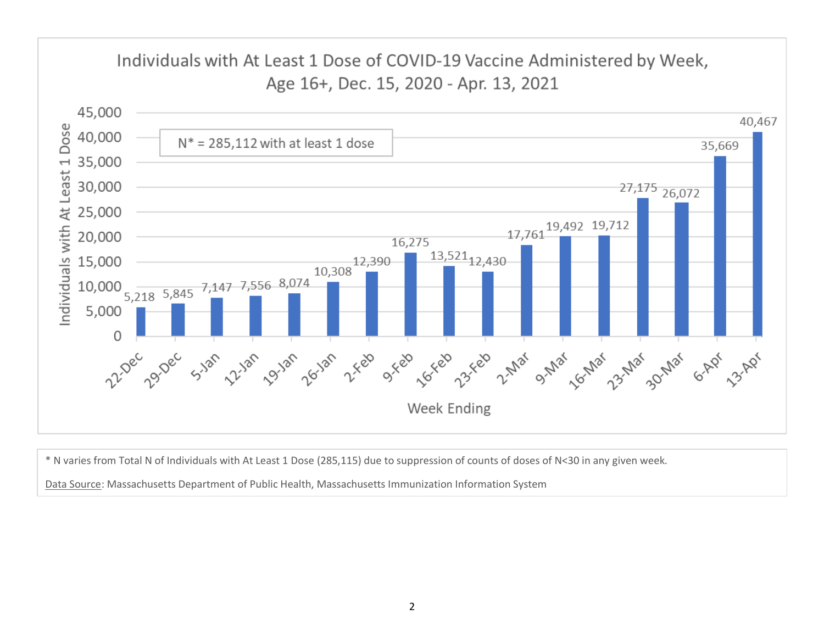

\* N varies from Total N of Individuals with At Least 1 Dose (285,115) due to suppression of counts of doses of N<30 in any given week.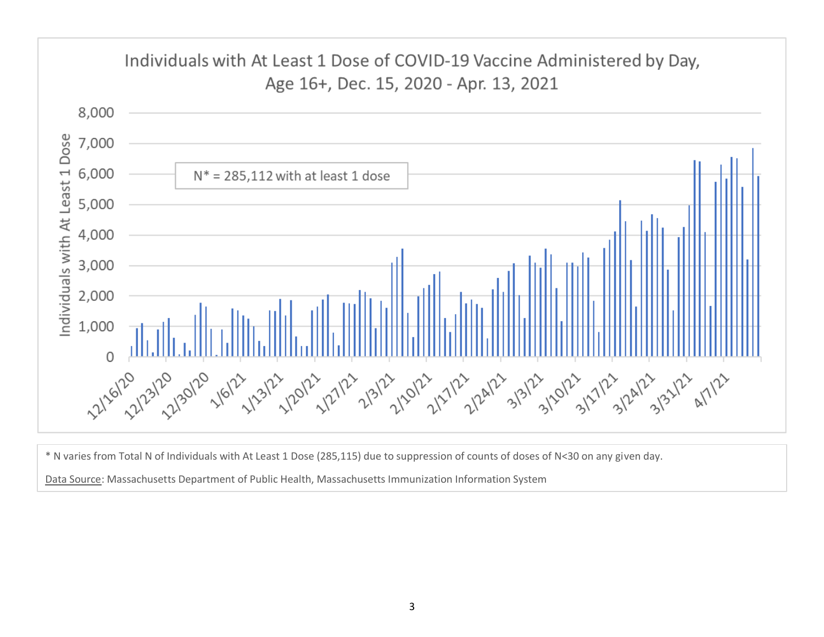

\* N varies from Total N of Individuals with At Least 1 Dose (285,115) due to suppression of counts of doses of N<30 on any given day.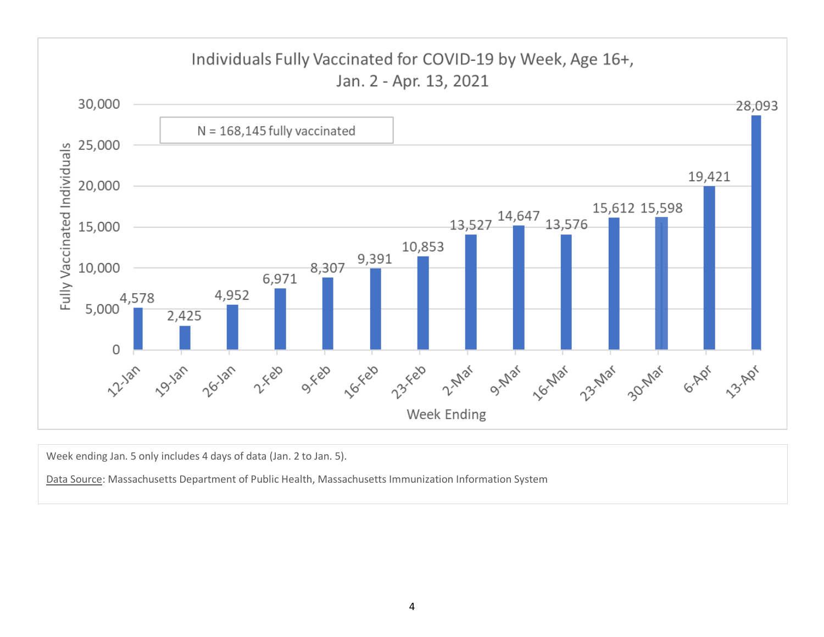

Week ending Jan. 5 only includes 4 days of data (Jan. 2 to Jan. 5).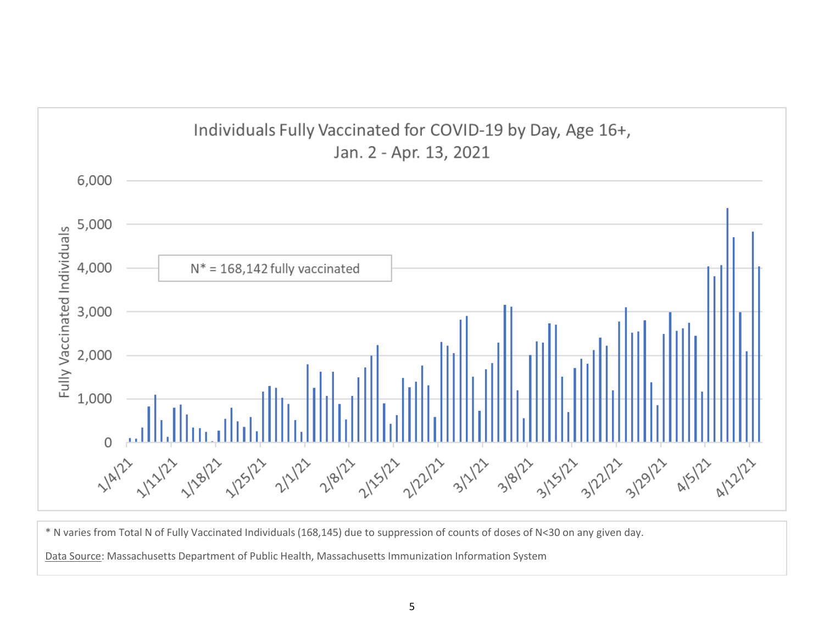![](_page_4_Figure_0.jpeg)

\* N varies from Total N of Fully Vaccinated Individuals (168,145) due to suppression of counts of doses of N<30 on any given day.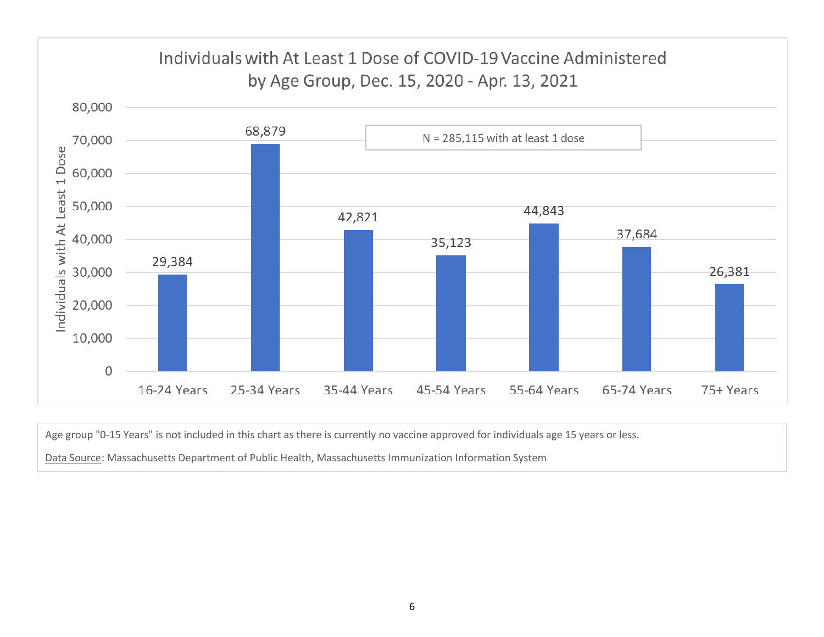![](_page_5_Figure_0.jpeg)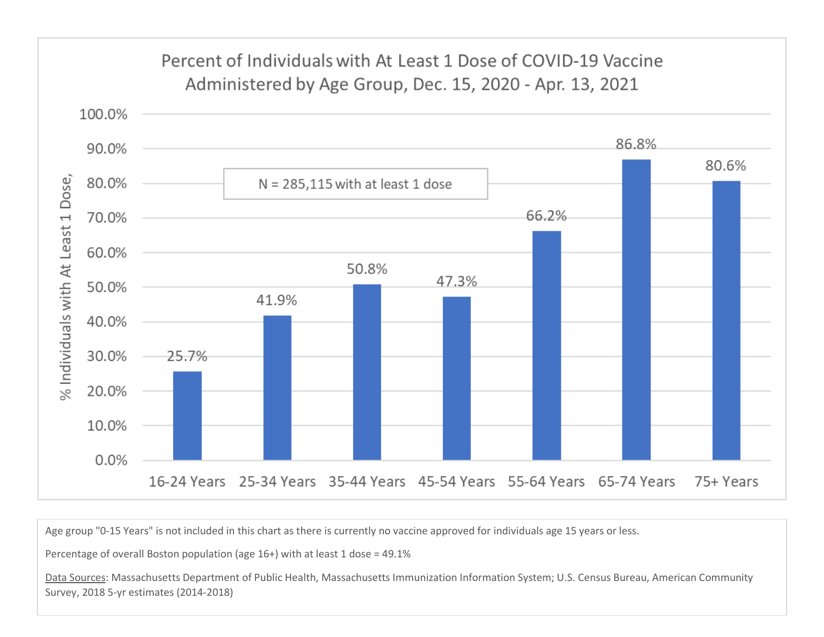![](_page_6_Figure_0.jpeg)

Percentage of overall Boston population (age 16+) with at least 1 dose = 49.1%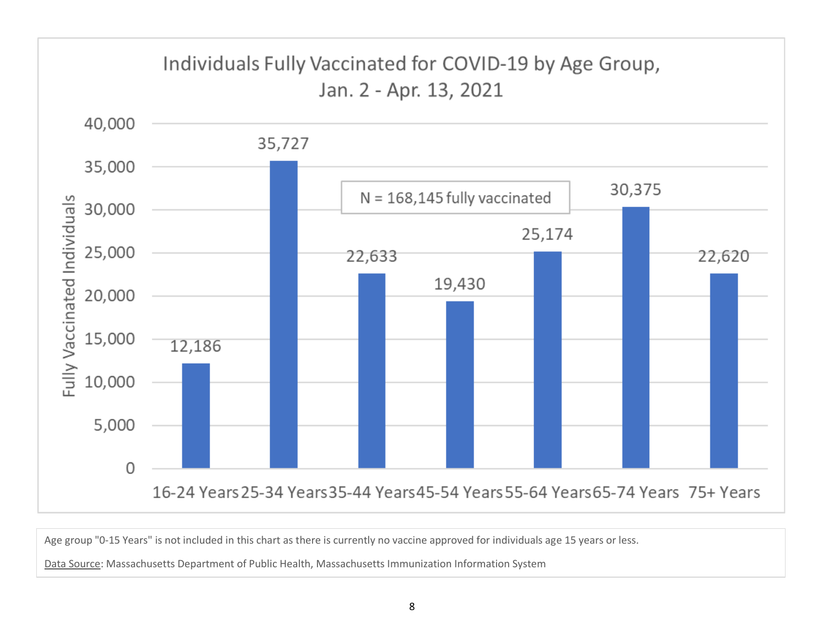![](_page_7_Figure_0.jpeg)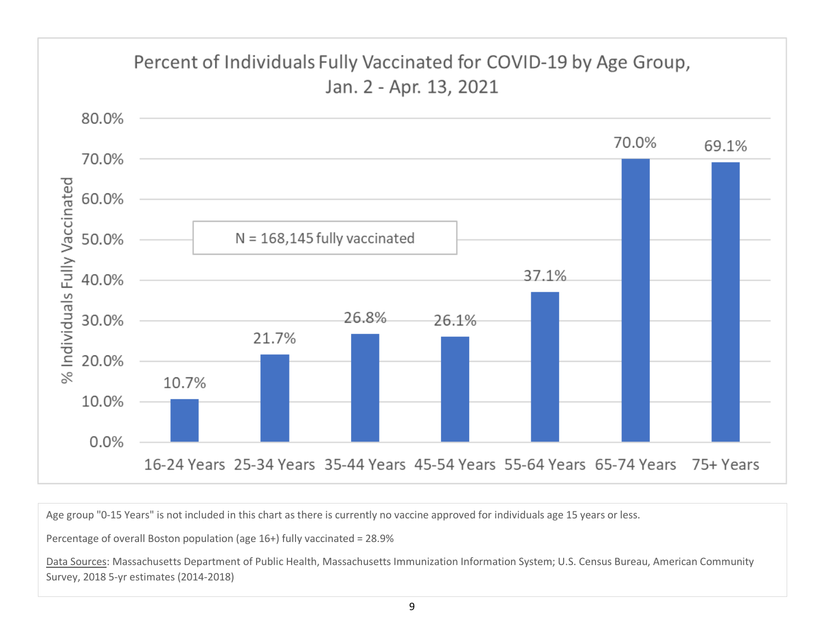![](_page_8_Figure_0.jpeg)

Percentage of overall Boston population (age 16+) fully vaccinated = 28.9%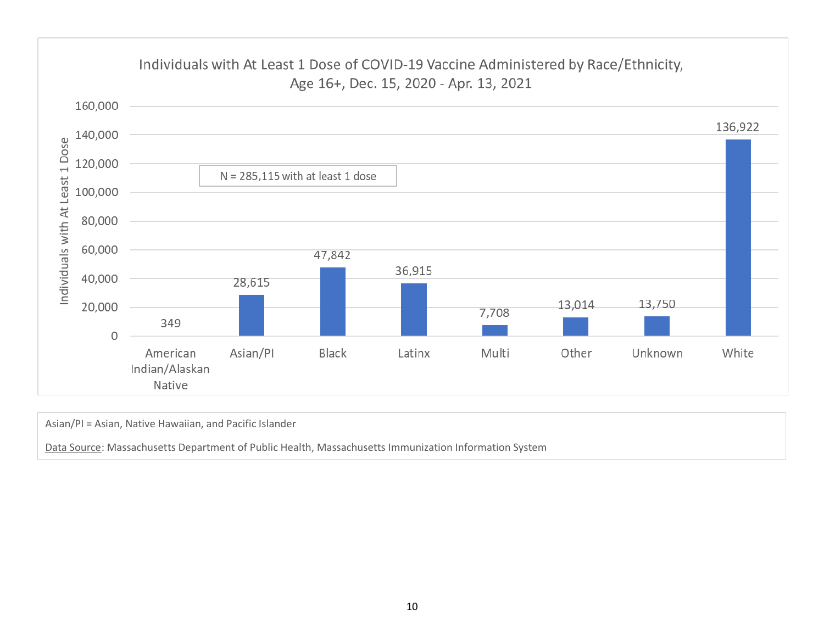![](_page_9_Figure_0.jpeg)

Asian/PI = Asian, Native Hawaiian, and Pacific Islander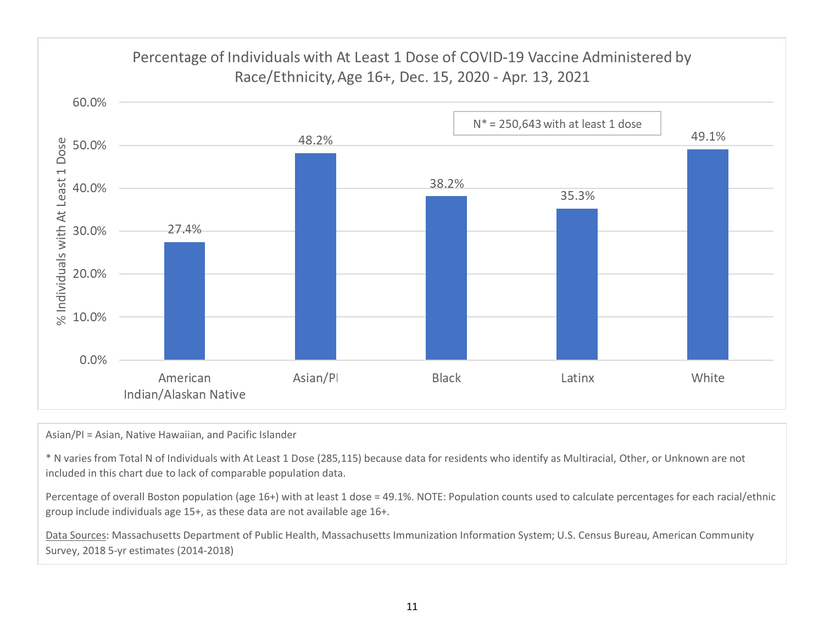![](_page_10_Figure_0.jpeg)

Asian/PI = Asian, Native Hawaiian, and Pacific Islander

\* N varies from Total N of Individuals with At Least 1 Dose (285,115) because data for residents who identify as Multiracial, Other, or Unknown are not included in this chart due to lack of comparable population data.

Percentage of overall Boston population (age 16+) with at least 1 dose = 49.1%. NOTE: Population counts used to calculate percentages for each racial/ethnic group include individuals age 15+, as these data are not available age 16+.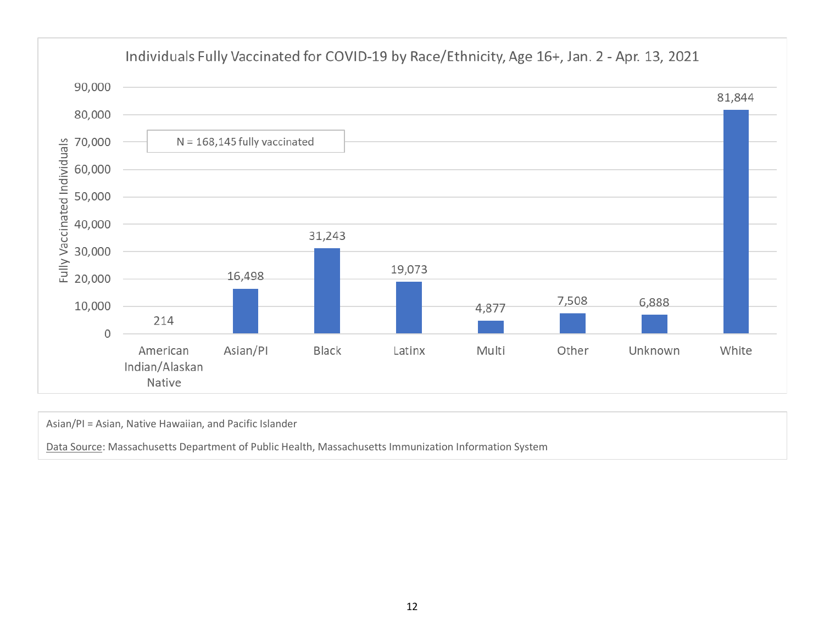![](_page_11_Figure_0.jpeg)

Asian/PI = Asian, Native Hawaiian, and Pacific Islander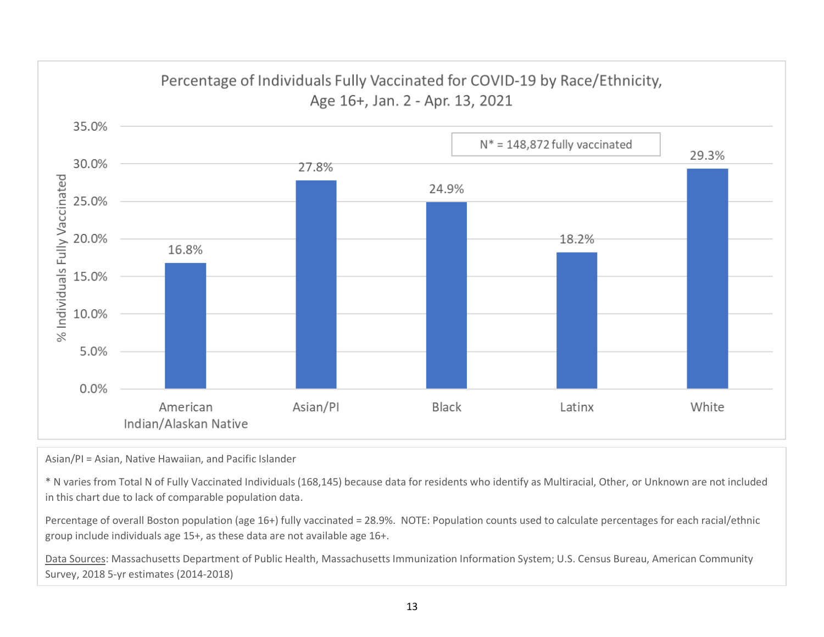![](_page_12_Figure_0.jpeg)

Asian/PI = Asian, Native Hawaiian, and Pacific Islander

\* N varies from Total N of Fully Vaccinated Individuals (168,145) because data for residents who identify as Multiracial, Other, or Unknown are not included in this chart due to lack of comparable population data.

Percentage of overall Boston population (age 16+) fully vaccinated = 28.9%. NOTE: Population counts used to calculate percentages for each racial/ethnic group include individuals age 15+, as these data are not available age 16+.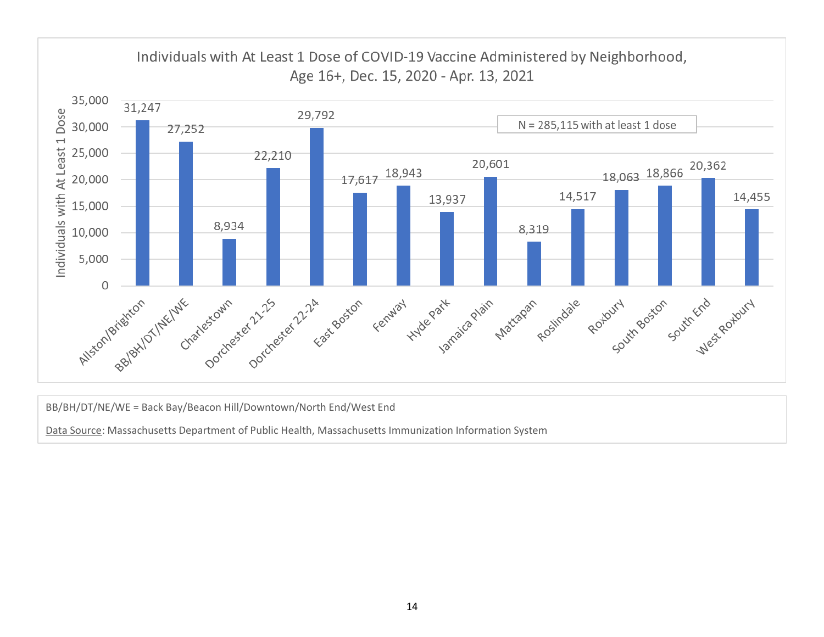![](_page_13_Figure_0.jpeg)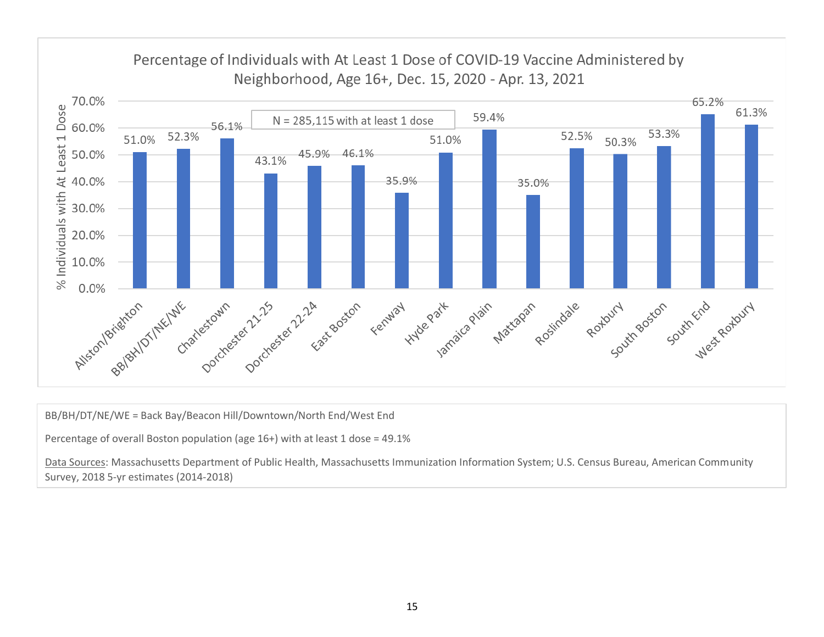![](_page_14_Figure_0.jpeg)

Percentage of overall Boston population (age 16+) with at least 1 dose = 49.1%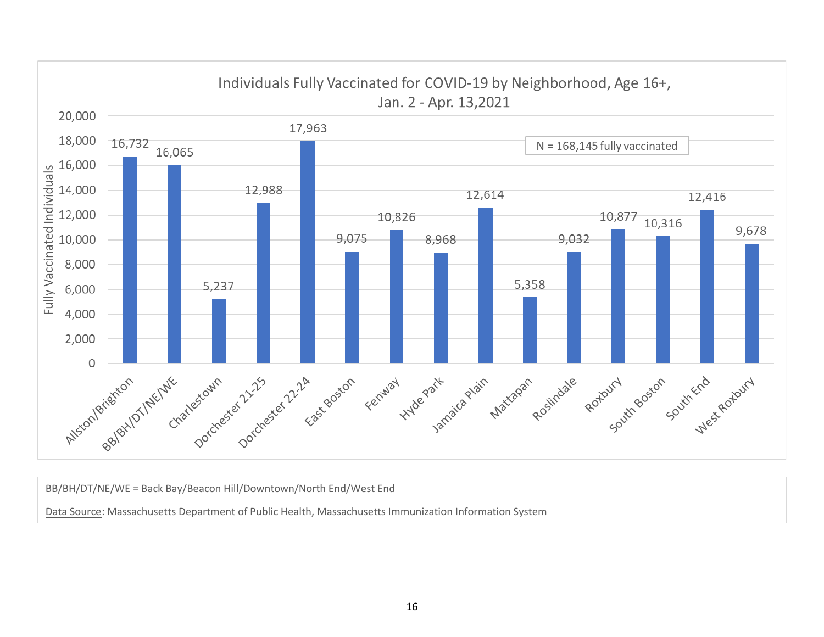![](_page_15_Figure_0.jpeg)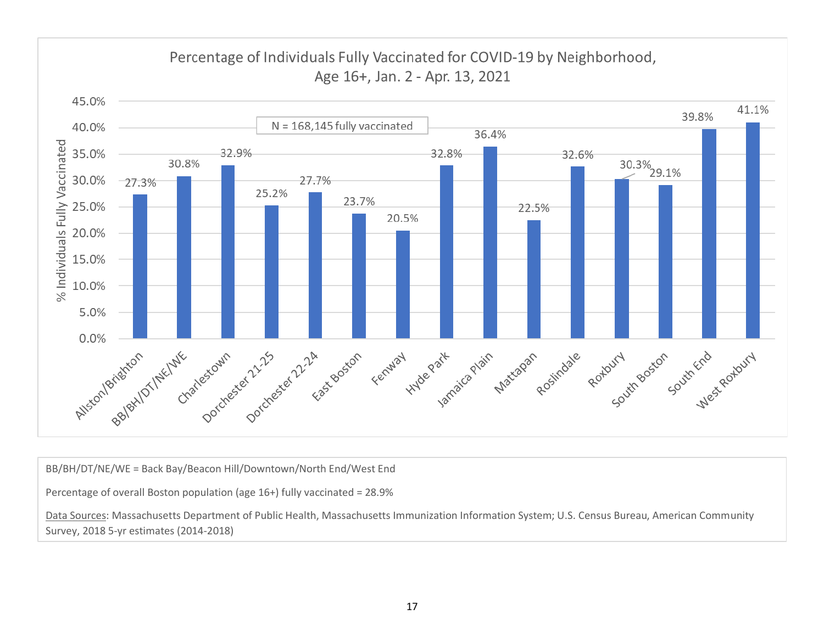![](_page_16_Figure_0.jpeg)

Percentage of overall Boston population (age 16+) fully vaccinated = 28.9%